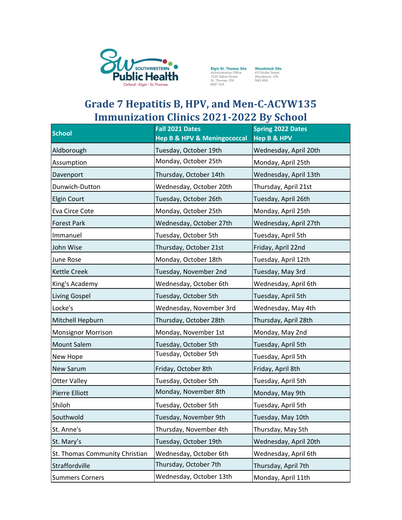

**Elgin St. Thomas Site**<br>Administrative Office<br>1230 Talbot Street<br>St. Thomas, ON<br>NSP 1G9

Woodstock Site<br>410 Buller Street<br>Woodstock, ON<br>N4S 4N2

## **Grade 7 Hepatitis B, HPV, and Men-C-ACYW135 Immunization Clinics 2021-2022 By School**

| <b>School</b>                  | Fall 2021 Dates<br><b>Hep B &amp; HPV &amp; Meningococcal</b> | <b>Spring 2022 Dates</b><br><b>Hep B &amp; HPV</b> |
|--------------------------------|---------------------------------------------------------------|----------------------------------------------------|
| Aldborough                     | Tuesday, October 19th                                         | Wednesday, April 20th                              |
| Assumption                     | Monday, October 25th                                          | Monday, April 25th                                 |
| Davenport                      | Thursday, October 14th                                        | Wednesday, April 13th                              |
| Dunwich-Dutton                 | Wednesday, October 20th                                       | Thursday, April 21st                               |
| Elgin Court                    | Tuesday, October 26th                                         | Tuesday, April 26th                                |
| Eva Circe Cote                 | Monday, October 25th                                          | Monday, April 25th                                 |
| <b>Forest Park</b>             | Wednesday, October 27th                                       | Wednesday, April 27th                              |
| Immanuel                       | Tuesday, October 5th                                          | Tuesday, April 5th                                 |
| John Wise                      | Thursday, October 21st                                        | Friday, April 22nd                                 |
| June Rose                      | Monday, October 18th                                          | Tuesday, April 12th                                |
| Kettle Creek                   | Tuesday, November 2nd                                         | Tuesday, May 3rd                                   |
| King's Academy                 | Wednesday, October 6th                                        | Wednesday, April 6th                               |
| Living Gospel                  | Tuesday, October 5th                                          | Tuesday, April 5th                                 |
| Locke's                        | Wednesday, November 3rd                                       | Wednesday, May 4th                                 |
| Mitchell Hepburn               | Thursday, October 28th                                        | Thursday, April 28th                               |
| <b>Monsignor Morrison</b>      | Monday, November 1st                                          | Monday, May 2nd                                    |
| Mount Salem                    | Tuesday, October 5th                                          | Tuesday, April 5th                                 |
| New Hope                       | Tuesday, October 5th                                          | Tuesday, April 5th                                 |
| New Sarum                      | Friday, October 8th                                           | Friday, April 8th                                  |
| <b>Otter Valley</b>            | Tuesday, October 5th                                          | Tuesday, April 5th                                 |
| Pierre Elliott                 | Monday, November 8th                                          | Monday, May 9th                                    |
| Shiloh                         | Tuesday, October 5th                                          | Tuesday, April 5th                                 |
| Southwold                      | Tuesday, November 9th                                         | Tuesday, May 10th                                  |
| St. Anne's                     | Thursday, November 4th                                        | Thursday, May 5th                                  |
| St. Mary's                     | Tuesday, October 19th                                         | Wednesday, April 20th                              |
| St. Thomas Community Christian | Wednesday, October 6th                                        | Wednesday, April 6th                               |
| Straffordville                 | Thursday, October 7th                                         | Thursday, April 7th                                |
| <b>Summers Corners</b>         | Wednesday, October 13th                                       | Monday, April 11th                                 |